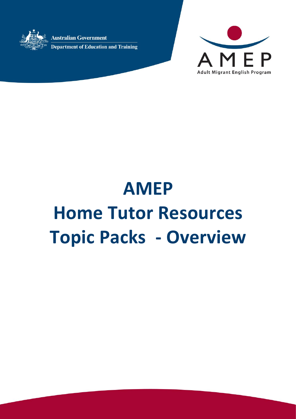**Australian Government Department of Education and Training** 



# **AMEP Home Tutor Resources Topic Packs - Overview**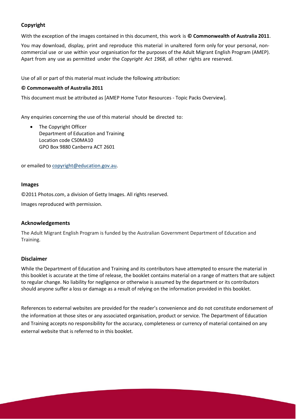# **Copyright**

With the exception of the images contained in this document, this work is **© Commonwealth of Australia 2011**.

You may download, display, print and reproduce this material in unaltered form only for your personal, noncommercial use or use within your organisation for the purposes of the Adult Migrant English Program (AMEP). Apart from any use as permitted under the *Copyright Act 1968*, all other rights are reserved.

Use of all or part of this material must include the following attribution:

#### **© Commonwealth of Australia 2011**

This document must be attributed as [AMEP Home Tutor Resources - Topic Packs Overview].

Any enquiries concerning the use of this material should be directed to:

• The Copyright Officer Department of Education and Training Location code C50MA10 GPO Box 9880 Canberra ACT 2601

or emailed to [copyright@education.gov.au.](mailto:copyright@education.gov.au)

#### **Images**

©2011 Photos.com, a division of Getty Images. All rights reserved.

Images reproduced with permission.

#### **Acknowledgements**

The Adult Migrant English Program is funded by the Australian Government Department of Education and Training.

#### **Disclaimer**

While the Department of Education and Training and its contributors have attempted to ensure the material in this booklet is accurate at the time of release, the booklet contains material on a range of matters that are subject to regular change. No liability for negligence or otherwise is assumed by the department or its contributors should anyone suffer a loss or damage as a result of relying on the information provided in this booklet.

References to external websites are provided for the reader's convenience and do not constitute endorsement of the information at those sites or any associated organisation, product or service. The Department of Education and Training accepts no responsibility for the accuracy, completeness or currency of material contained on any external website that is referred to in this booklet.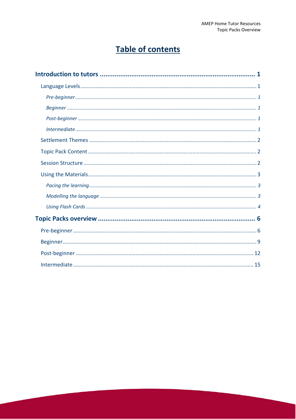# **Table of contents**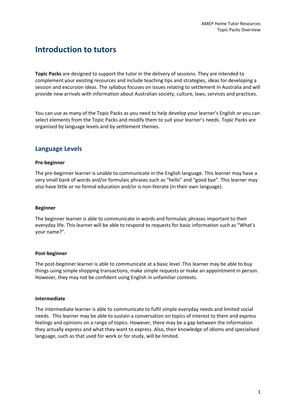# <span id="page-3-0"></span>**Introduction to tutors**

**Topic Packs** are designed to support the tutor in the delivery of sessions. They are intended to complement your existing resources and include teaching tips and strategies, ideas for developing a session and excursion ideas. The syllabus focuses on issues relating to settlement in Australia and will provide new arrivals with information about Australian society, culture, laws, services and practices.

You can use as many of the Topic Packs as you need to help develop your learner's English or you can select elements from the Topic Packs and modify them to suit your learner's needs. Topic Packs are organised by language levels and by settlement themes.

# <span id="page-3-1"></span>**Language Levels**

#### <span id="page-3-2"></span>**Pre-beginner**

The pre-beginner learner is unable to communicate in the English language. This learner may have a very small bank of words and/or formulaic phrases such as "hello" and "good bye". This learner may also have little or no formal education and/or is non-literate (in their own language).

#### <span id="page-3-3"></span>**Beginner**

The beginner learner is able to communicate in words and formulaic phrases important to their everyday life. This learner will be able to respond to requests for basic information such as "What's your name?".

#### <span id="page-3-4"></span>**Post-beginner**

The post-beginner learner is able to communicate at a basic level .This learner may be able to buy things using simple shopping transactions, make simple requests or make an appointment in person. However, they may not be confident using English in unfamiliar contexts.

#### <span id="page-3-5"></span>**Intermediate**

<span id="page-3-6"></span>The intermediate learner is able to communicate to fulfil simple everyday needs and limited social needs. This learner may be able to sustain a conversation on topics of interest to them and express feelings and opinions on a range of topics. However, there may be a gap between the information they actually express and what they want to express. Also, their knowledge of idioms and specialised language, such as that used for work or for study, will be limited.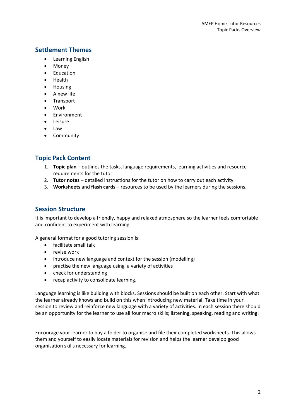# **Settlement Themes**

- Learning English
- Money
- Education
- Health
- Housing
- A new life
- Transport
- Work
- **•** Environment
- Leisure
- Law
- Community

# <span id="page-4-0"></span>**Topic Pack Content**

- 1. **Topic plan** outlines the tasks, language requirements, learning activities and resource requirements for the tutor.
- 2. **Tutor notes** detailed instructions for the tutor on how to carry out each activity.
- 3. **Worksheets** and **flash cards** resources to be used by the learners during the sessions.

# <span id="page-4-1"></span>**Session Structure**

It is important to develop a friendly, happy and relaxed atmosphere so the learner feels comfortable and confident to experiment with learning.

A general format for a good tutoring session is:

- facilitate small talk
- revise work
- introduce new language and context for the session (modelling)
- practise the new language using a variety of activities
- check for understanding
- recap activity to consolidate learning.

Language learning is like building with blocks. Sessions should be built on each other. Start with what the learner already knows and build on this when introducing new material. Take time in your session to review and reinforce new language with a variety of activities. In each session there should be an opportunity for the learner to use all four macro skills; listening, speaking, reading and writing.

Encourage your learner to buy a folder to organise and file their completed worksheets. This allows them and yourself to easily locate materials for revision and helps the learner develop good organisation skills necessary for learning.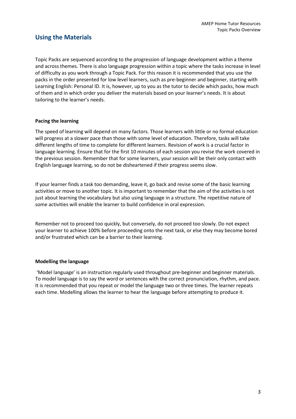# <span id="page-5-0"></span>**Using the Materials**

Topic Packs are sequenced according to the progression of language development within a theme and across themes. There is also language progression within a topic where the tasks increase in level of difficulty as you work through a Topic Pack. For this reason it is recommended that you use the packs in the order presented for low level learners, such as pre-beginner and beginner, starting with Learning English: Personal ID. It is, however, up to you as the tutor to decide which packs, how much of them and in which order you deliver the materials based on your learner's needs. It is about tailoring to the learner's needs.

#### <span id="page-5-1"></span>**Pacing the learning**

The speed of learning will depend on many factors. Those learners with little or no formal education will progress at a slower pace than those with some level of education. Therefore, tasks will take different lengths of time to complete for different learners. Revision of work is a crucial factor in language learning. Ensure that for the first 10 minutes of each session you revise the work covered in the previous session. Remember that for some learners, your session will be their only contact with English language learning, so do not be disheartened if their progress seems slow.

If your learner finds a task too demanding, leave it, go back and revise some of the basic learning activities or move to another topic. It is important to remember that the aim of the activities is not just about learning the vocabulary but also using language in a structure. The repetitive nature of some activities will enable the learner to build confidence in oral expression.

Remember not to proceed too quickly, but conversely, do not proceed too slowly. Do not expect your learner to achieve 100% before proceeding onto the next task, or else they may become bored and/or frustrated which can be a barrier to their learning.

#### <span id="page-5-2"></span>**Modelling the language**

'Model language' is an instruction regularly used throughout pre-beginner and beginner materials. To model language is to say the word or sentences with the correct pronunciation, rhythm, and pace. It is recommended that you repeat or model the language two or three times. The learner repeats each time. Modelling allows the learner to hear the language before attempting to produce it.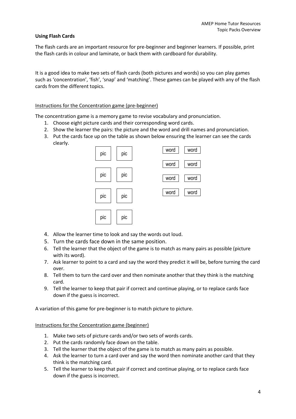#### <span id="page-6-0"></span>**Using Flash Cards**

The flash cards are an important resource for pre-beginner and beginner learners. If possible, print the flash cards in colour and laminate, or back them with cardboard for durability.

It is a good idea to make two sets of flash cards (both pictures and words) so you can play games such as 'concentration', 'fish', 'snap' and 'matching'. These games can be played with any of the flash cards from the different topics.

#### Instructions for the Concentration game (pre-beginner)

The concentration game is a memory game to revise vocabulary and pronunciation.

- 1. Choose eight picture cards and their corresponding word cards.
- 2. Show the learner the pairs: the picture and the word and drill names and pronunciation.
- 3. Put the cards face up on the table as shown below ensuring the learner can see the cards clearly.



- 4. Allow the learner time to look and say the words out loud.
- 5. Turn the cards face down in the same position.
- 6. Tell the learner that the object of the game is to match as many pairs as possible (picture with its word).
- 7. Ask learner to point to a card and say the word they predict it will be, before turning the card over.
- 8. Tell them to turn the card over and then nominate another that they think is the matching card.
- 9. Tell the learner to keep that pair if correct and continue playing, or to replace cards face down if the guess is incorrect.

A variation of this game for pre-beginner is to match picture to picture.

Instructions for the Concentration game (beginner)

- 1. Make two sets of picture cards and/or two sets of words cards.
- 2. Put the cards randomly face down on the table.
- 3. Tell the learner that the object of the game is to match as many pairs as possible.
- 4. Ask the learner to turn a card over and say the word then nominate another card that they think is the matching card.
- 5. Tell the learner to keep that pair if correct and continue playing, or to replace cards face down if the guess is incorrect.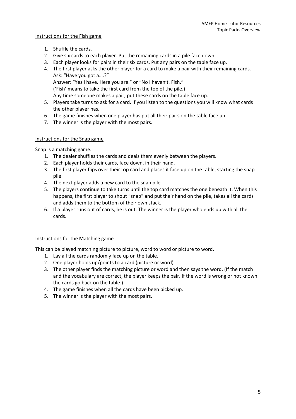#### Instructions for the Fish game

- 1. Shuffle the cards.
- 2. Give six cards to each player. Put the remaining cards in a pile face down.
- 3. Each player looks for pairs in their six cards. Put any pairs on the table face up.
- 4. The first player asks the other player for a card to make a pair with their remaining cards. Ask: "Have you got a….?" Answer: "Yes I have. Here you are." or "No I haven't. Fish." ('Fish' means to take the first card from the top of the pile.) Any time someone makes a pair, put these cards on the table face up.
- 5. Players take turns to ask for a card. If you listen to the questions you will know what cards the other player has.
- 6. The game finishes when one player has put all their pairs on the table face up.
- 7. The winner is the player with the most pairs.

#### Instructions for the Snap game

Snap is a matching game.

- 1. The dealer shuffles the cards and deals them evenly between the players.
- 2. Each player holds their cards, face down, in their hand.
- 3. The first player flips over their top card and places it face up on the table, starting the snap pile.
- 4. The next player adds a new card to the snap pile.
- 5. The players continue to take turns until the top card matches the one beneath it. When this happens, the first player to shout "snap" and put their hand on the pile, takes all the cards and adds them to the bottom of their own stack.
- 6. If a player runs out of cards, he is out. The winner is the player who ends up with all the cards.

#### Instructions for the Matching game

This can be played matching picture to picture, word to word or picture to word.

- 1. Lay all the cards randomly face up on the table.
- 2. One player holds up/points to a card (picture or word).
- 3. The other player finds the matching picture or word and then says the word. (If the match and the vocabulary are correct, the player keeps the pair. If the word is wrong or not known the cards go back on the table.)
- 4. The game finishes when all the cards have been picked up.
- 5. The winner is the player with the most pairs.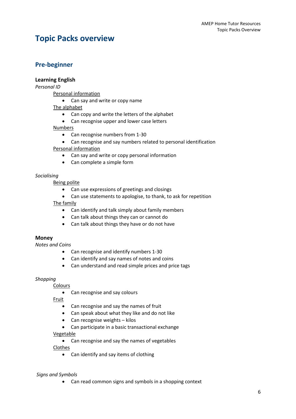# <span id="page-8-0"></span>**Topic Packs overview**

# <span id="page-8-1"></span>**Pre-beginner**

## **Learning English**

*Personal ID*

Personal information

• Can say and write or copy name

#### The alphabet

- Can copy and write the letters of the alphabet
- Can recognise upper and lower case letters

#### Numbers

- Can recognise numbers from 1-30
- Can recognise and say numbers related to personal identification

#### Personal information

- Can say and write or copy personal information
- Can complete a simple form

#### *Socialising*

Being polite

- Can use expressions of greetings and closings
- Can use statements to apologise, to thank, to ask for repetition The family
	- Can identify and talk simply about family members
	- Can talk about things they can or cannot do
	- Can talk about things they have or do not have

#### **Money**

*Notes and Coins*

- Can recognise and identify numbers 1-30
- Can identify and say names of notes and coins
- Can understand and read simple prices and price tags

#### *Shopping*

Colours

• Can recognise and say colours

Fruit

- Can recognise and say the names of fruit
- Can speak about what they like and do not like
- Can recognise weights kilos
- Can participate in a basic transactional exchange

#### Vegetable

Can recognise and say the names of vegetables

Clothes

• Can identify and say items of clothing

#### *Signs and Symbols*

Can read common signs and symbols in a shopping context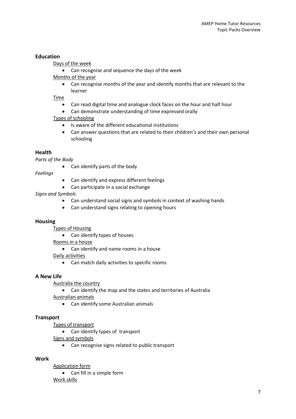#### **Education**

Days of the week

Can recognise and sequence the days of the week

Months of the year

 Can recognise months of the year and identify months that are relevant to the learner

Time

- Can read digital time and analogue clock faces on the hour and half hour
- Can demonstrate understanding of time expressed orally

Types of schooling

- Is aware of the different educational institutions
- Can answer questions that are related to their children's and their own personal schooling

#### **Health**

*Parts of the Body*

Can identify parts of the body

*Feelings*

- Can identify and express different feelings
- Can participate in a social exchange

#### *Signs and Symbols*

- Can understand social signs and symbols in context of washing hands
- Can understand signs relating to opening hours

#### **Housing**

Types of Housing

Can identify types of houses

Rooms in a house

Can identify and name rooms in a house

Daily activities

Can match daily activities to specific rooms

#### **A New Life**

Australia the country

Can identify the map and the states and territories of Australia

Australian animals

Can identify some Australian animals

#### **Transport**

Types of transport

Can identify types of transport

Signs and symbols

Can recognise signs related to public transport

#### **Work**

Application form

 Can fill in a simple form Work skills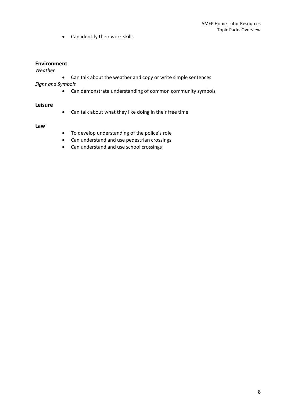Can identify their work skills

#### **Environment**

#### *Weather*

Can talk about the weather and copy or write simple sentences

*Signs and Symbols*

Can demonstrate understanding of common community symbols

#### **Leisure**

Can talk about what they like doing in their free time

#### **Law**

- To develop understanding of the police's role
- Can understand and use pedestrian crossings
- Can understand and use school crossings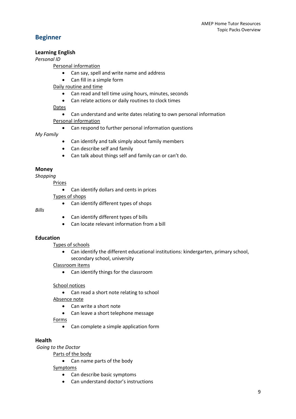# <span id="page-11-0"></span>**Beginner**

#### **Learning English**

*Personal ID*

#### Personal information

- Can say, spell and write name and address
- Can fill in a simple form

Daily routine and time

- Can read and tell time using hours, minutes, seconds
- Can relate actions or daily routines to clock times

Dates

Can understand and write dates relating to own personal information

Personal information

Can respond to further personal information questions

#### *My Family*

- Can identify and talk simply about family members
- Can describe self and family
- Can talk about things self and family can or can't do.

# **Money**

*Shopping*

Prices

Can identify dollars and cents in prices

Types of shops

• Can identify different types of shops

#### *Bills*

- Can identify different types of bills
- Can locate relevant information from a bill

# **Education**

Types of schools

 Can identify the different educational institutions: kindergarten, primary school, secondary school, university

#### Classroom items

• Can identify things for the classroom

School notices

- Can read a short note relating to school
- Absence note
	- Can write a short note
	- Can leave a short telephone message

Forms

Can complete a simple application form

# **Health**

*Going to the Doctor*

Parts of the body

Can name parts of the body

Symptoms

- Can describe basic symptoms
- Can understand doctor's instructions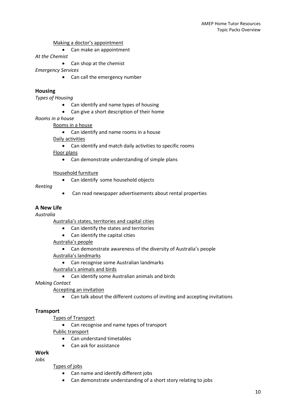Making a doctor's appointment

Can make an appointment

*At the Chemist*

• Can shop at the chemist

*Emergency Services*

• Can call the emergency number

#### **Housing**

*Types of Housing*

- Can identify and name types of housing
	- Can give a short description of their home
- *Rooms in a house*

Rooms in a house

Can identify and name rooms in a house

Daily activities

Can identify and match daily activities to specific rooms

Floor plans

• Can demonstrate understanding of simple plans

#### Household furniture

• Can identify some household objects

#### *Renting*

Can read newspaper advertisements about rental properties

#### **A New Life**

*Australia*

Australia's states, territories and capital cities

- Can identify the states and territories
- Can identify the capital cities

Australia's people

- Can demonstrate awareness of the diversity of Australia's people Australia's landmarks
	- Can recognise some Australian landmarks

Australia's animals and birds

Can identify some Australian animals and birds

*Making Contact*

Accepting an invitation

Can talk about the different customs of inviting and accepting invitations

#### **Transport**

Types of Transport

Can recognise and name types of transport

Public transport

- Can understand timetables
- Can ask for assistance

# **Work**

*Jobs*

Types of jobs

- Can name and identify different jobs
- Can demonstrate understanding of a short story relating to jobs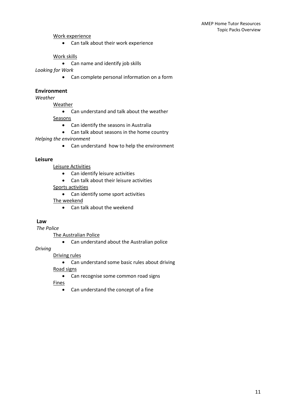#### Work experience

Can talk about their work experience

#### Work skills

Can name and identify job skills

#### *Looking for Work*

Can complete personal information on a form

#### **Environment**

*Weather*

**Weather** 

- Can understand and talk about the weather Seasons
	- Can identify the seasons in Australia
	- Can talk about seasons in the home country

*Helping the environment*

• Can understand how to help the environment

#### **Leisure**

Leisure Activities

- Can identify leisure activities
- Can talk about their leisure activities

Sports activities

• Can identify some sport activities

The weekend

Can talk about the weekend

#### **Law**

*The Police*

The Australian Police

Can understand about the Australian police

#### *Driving*

#### Driving rules

• Can understand some basic rules about driving

Road signs

• Can recognise some common road signs

Fines

Can understand the concept of a fine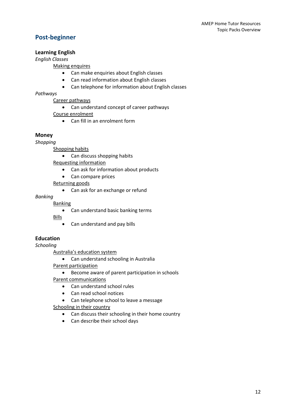# <span id="page-14-0"></span>**Post-beginner**

# **Learning English**

# *English Classes*

Making enquires

- Can make enquiries about English classes
- Can read information about English classes
- Can telephone for information about English classes

## *Pathways*

Career pathways

Can understand concept of career pathways

Course enrolment

Can fill in an enrolment form

# **Money**

*Shopping*

Shopping habits

• Can discuss shopping habits

Requesting information

- Can ask for information about products
- Can compare prices

Returning goods

Can ask for an exchange or refund

*Banking*

#### Banking

• Can understand basic banking terms

Bills

• Can understand and pay bills

# **Education**

*Schooling*

Australia's education system

Can understand schooling in Australia

Parent participation

Become aware of parent participation in schools

Parent communications

- Can understand school rules
- Can read school notices
- Can telephone school to leave a message

Schooling in their country

- Can discuss their schooling in their home country
- Can describe their school days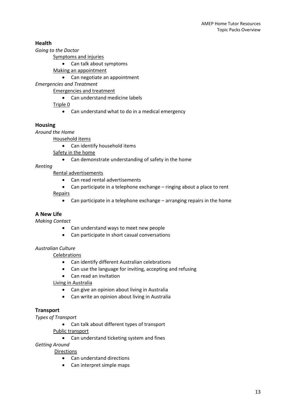# **Health**

*Going to the Doctor*

Symptoms and injuries

Can talk about symptoms

Making an appointment

Can negotiate an appointment

*Emergencies and Treatment*

Emergencies and treatment

• Can understand medicine labels

Triple 0

Can understand what to do in a medical emergency

#### **Housing**

*Around the Home*

Household items

Can identify household items

Safety in the home

Can demonstrate understanding of safety in the home

*Renting*

Rental advertisements

- Can read rental advertisements
- Can participate in a telephone exchange ringing about a place to rent

Repairs

Can participate in a telephone exchange – arranging repairs in the home

#### **A New Life**

*Making Contact*

- Can understand ways to meet new people
- Can participate in short casual conversations

#### *Australian Culture*

Celebrations

- Can identify different Australian celebrations
- Can use the language for inviting, accepting and refusing
- Can read an invitation

Living in Australia

- Can give an opinion about living in Australia
- Can write an opinion about living in Australia

#### **Transport**

*Types of Transport*

Can talk about different types of transport

Public transport

Can understand ticketing system and fines

*Getting Around*

Directions

- Can understand directions
- Can interpret simple maps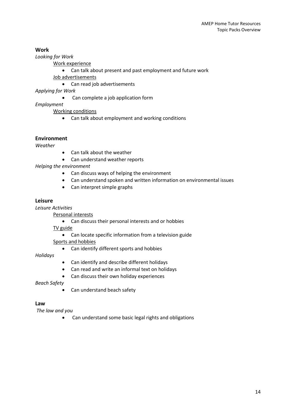#### **Work**

*Looking for Work*

Work experience

Can talk about present and past employment and future work

Job advertisements

Can read job advertisements

*Applying for Work*

Can complete a job application form

*Employment*

Working conditions

Can talk about employment and working conditions

#### **Environment**

*Weather*

- Can talk about the weather
- Can understand weather reports

*Helping the environment*

- Can discuss ways of helping the environment
- Can understand spoken and written information on environmental issues
- Can interpret simple graphs

#### **Leisure**

*Leisure Activities*

Personal interests

Can discuss their personal interests and or hobbies

TV guide

Can locate specific information from a television guide

Sports and hobbies

Can identify different sports and hobbies

*Holidays*

- Can identify and describe different holidays
- Can read and write an informal text on holidays
- Can discuss their own holiday experiences

*Beach Safety*

Can understand beach safety

#### **Law**

*The law and you*

Can understand some basic legal rights and obligations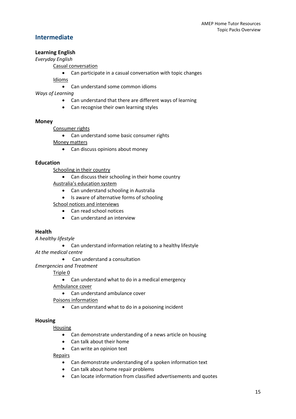# <span id="page-17-0"></span>**Intermediate**

# **Learning English**

#### *Everyday English*

Casual conversation

Can participate in a casual conversation with topic changes

Idioms

Can understand some common idioms

*Ways of Learning*

- Can understand that there are different ways of learning
- Can recognise their own learning styles

#### **Money**

Consumer rights

• Can understand some basic consumer rights Money matters

• Can discuss opinions about money

# **Education**

Schooling in their country

• Can discuss their schooling in their home country

Australia's education system

- Can understand schooling in Australia
- Is aware of alternative forms of schooling School notices and interviews
	- Can read school notices
	- Can understand an interview

# **Health**

*A healthy lifestyle*

Can understand information relating to a healthy lifestyle

*At the medical centre*

Can understand a consultation

*Emergencies and Treatment*

Triple 0

Can understand what to do in a medical emergency

Ambulance cover

• Can understand ambulance cover

Poisons information

Can understand what to do in a poisoning incident

# **Housing**

Housing

- Can demonstrate understanding of a news article on housing
- Can talk about their home
- Can write an opinion text

Repairs

- Can demonstrate understanding of a spoken information text
- Can talk about home repair problems
- Can locate information from classified advertisements and quotes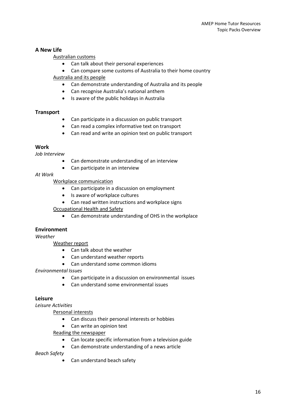#### **A New Life**

#### Australian customs

- Can talk about their personal experiences
- Can compare some customs of Australia to their home country

#### Australia and its people

- Can demonstrate understanding of Australia and its people
- Can recognise Australia's national anthem
- Is aware of the public holidays in Australia

#### **Transport**

- Can participate in a discussion on public transport
- Can read a complex informative text on transport
- Can read and write an opinion text on public transport

#### **Work**

*Job Interview*

- Can demonstrate understanding of an interview
- Can participate in an interview

#### *At Work*

#### Workplace communication

- Can participate in a discussion on employment
- Is aware of workplace cultures
- Can read written instructions and workplace signs
- Occupational Health and Safety
	- Can demonstrate understanding of OHS in the workplace

#### **Environment**

#### *Weather*

Weather report

- Can talk about the weather
- Can understand weather reports
- Can understand some common idioms

#### *Environmental Issues*

- Can participate in a discussion on environmental issues
- Can understand some environmental issues

#### **Leisure**

*Leisure Activities*

Personal interests

- Can discuss their personal interests or hobbies
- Can write an opinion text

#### Reading the newspaper

- Can locate specific information from a television guide
- Can demonstrate understanding of a news article

#### *Beach Safety*

Can understand beach safety